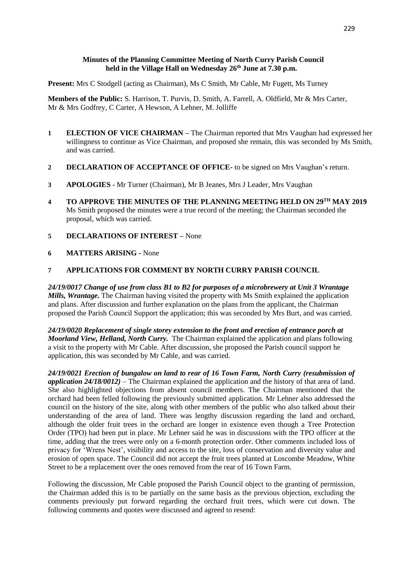### **Minutes of the Planning Committee Meeting of North Curry Parish Council held in the Village Hall on Wednesday 26th June at 7.30 p.m.**

**Present:** Mrs C Stodgell (acting as Chairman), Ms C Smith, Mr Cable, Mr Fugett, Ms Turney

**Members of the Public:** S. Harrison, T. Purvis, D. Smith, A. Farrell, A. Oldfield, Mr & Mrs Carter, Mr & Mrs Godfrey, C Carter, A Hewson, A Lehner, M. Jolliffe

- **1 ELECTION OF VICE CHAIRMAN –** The Chairman reported that Mrs Vaughan had expressed her willingness to continue as Vice Chairman, and proposed she remain, this was seconded by Ms Smith, and was carried.
- **2 DECLARATION OF ACCEPTANCE OF OFFICE-** to be signed on Mrs Vaughan's return.
- **3 APOLOGIES -** Mr Turner (Chairman), Mr B Jeanes, Mrs J Leader, Mrs Vaughan
- **4 TO APPROVE THE MINUTES OF THE PLANNING MEETING HELD ON 29 TH MAY 2019** Ms Smith proposed the minutes were a true record of the meeting; the Chairman seconded the proposal, which was carried.
- **5 DECLARATIONS OF INTEREST –** None
- **6 MATTERS ARISING -** None

#### **7 APPLICATIONS FOR COMMENT BY NORTH CURRY PARISH COUNCIL**

*24/19/0017 Change of use from class B1 to B2 for purposes of a microbrewery at Unit 3 Wrantage Mills, Wrantage.* The Chairman having visited the property with Ms Smith explained the application and plans. After discussion and further explanation on the plans from the applicant, the Chairman proposed the Parish Council Support the application; this was seconded by Mrs Burt, and was carried.

*24/19/0020 Replacement of single storey extension to the front and erection of entrance porch at Moorland View, Helland, North Curry.* The Chairman explained the application and plans following a visit to the property with Mr Cable. After discussion, she proposed the Parish council support he application, this was seconded by Mr Cable, and was carried.

*24/19/0021 Erection of bungalow on land to rear of 16 Town Farm, North Curry (resubmission of application 24/18/0012)* – The Chairman explained the application and the history of that area of land. She also highlighted objections from absent council members. The Chairman mentioned that the orchard had been felled following the previously submitted application. Mr Lehner also addressed the council on the history of the site, along with other members of the public who also talked about their understanding of the area of land. There was lengthy discussion regarding the land and orchard, although the older fruit trees in the orchard are longer in existence even though a Tree Protection Order (TPO) had been put in place. Mr Lehner said he was in discussions with the TPO officer at the time, adding that the trees were only on a 6-month protection order. Other comments included loss of privacy for 'Wrens Nest', visibility and access to the site, loss of conservation and diversity value and erosion of open space. The Council did not accept the fruit trees planted at Loscombe Meadow, White Street to be a replacement over the ones removed from the rear of 16 Town Farm.

Following the discussion, Mr Cable proposed the Parish Council object to the granting of permission, the Chairman added this is to be partially on the same basis as the previous objection, excluding the comments previously put forward regarding the orchard fruit trees, which were cut down. The following comments and quotes were discussed and agreed to resend: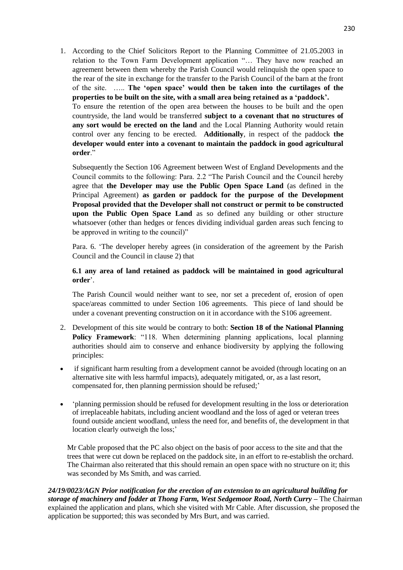1. According to the Chief Solicitors Report to the Planning Committee of 21.05.2003 in relation to the Town Farm Development application "… They have now reached an agreement between them whereby the Parish Council would relinquish the open space to the rear of the site in exchange for the transfer to the Parish Council of the barn at the front of the site. ….. **The 'open space' would then be taken into the curtilages of the properties to be built on the site, with a small area being retained as a 'paddock'.** 

To ensure the retention of the open area between the houses to be built and the open countryside, the land would be transferred **subject to a covenant that no structures of any sort would be erected on the land** and the Local Planning Authority would retain control over any fencing to be erected. **Additionally**, in respect of the paddock **the developer would enter into a covenant to maintain the paddock in good agricultural order**."

Subsequently the Section 106 Agreement between West of England Developments and the Council commits to the following: Para. 2.2 "The Parish Council and the Council hereby agree that **the Developer may use the Public Open Space Land** (as defined in the Principal Agreement) **as garden or paddock for the purpose of the Development Proposal provided that the Developer shall not construct or permit to be constructed upon the Public Open Space Land** as so defined any building or other structure whatsoever (other than hedges or fences dividing individual garden areas such fencing to be approved in writing to the council)"

Para. 6. 'The developer hereby agrees (in consideration of the agreement by the Parish Council and the Council in clause 2) that

## **6.1 any area of land retained as paddock will be maintained in good agricultural order**'.

The Parish Council would neither want to see, nor set a precedent of, erosion of open space/areas committed to under Section 106 agreements. This piece of land should be under a covenant preventing construction on it in accordance with the S106 agreement.

- 2. Development of this site would be contrary to both: **Section 18 of the National Planning Policy Framework**: "118. When determining planning applications, local planning authorities should aim to conserve and enhance biodiversity by applying the following principles:
- if significant harm resulting from a development cannot be avoided (through locating on an alternative site with less harmful impacts), adequately mitigated, or, as a last resort, compensated for, then planning permission should be refused;'
- 'planning permission should be refused for development resulting in the loss or deterioration of irreplaceable habitats, including ancient woodland and the loss of aged or veteran trees found outside ancient woodland, unless the need for, and benefits of, the development in that location clearly outweigh the loss;'

Mr Cable proposed that the PC also object on the basis of poor access to the site and that the trees that were cut down be replaced on the paddock site, in an effort to re-establish the orchard. The Chairman also reiterated that this should remain an open space with no structure on it; this was seconded by Ms Smith, and was carried.

*24/19/0023/AGN Prior notification for the erection of an extension to an agricultural building for storage of machinery and fodder at Thong Farm, West Sedgemoor Road, North Curry –* The Chairman explained the application and plans, which she visited with Mr Cable. After discussion, she proposed the application be supported; this was seconded by Mrs Burt, and was carried.